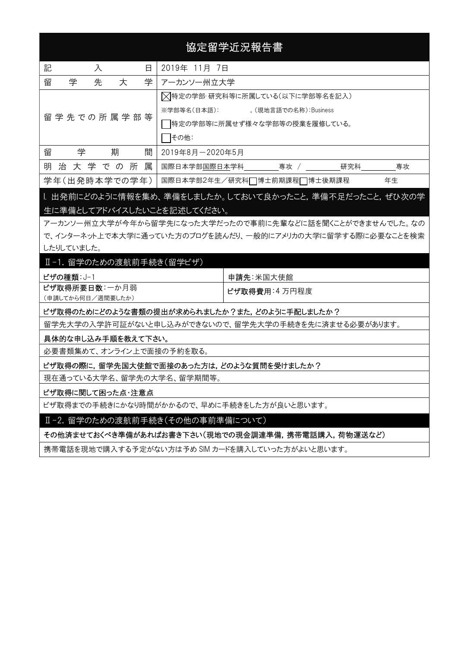# 協定留学近況報告書

| 記             | 入<br>日     |   |                                     |                                | 2019年 11月 7日                      |  |  |  |
|---------------|------------|---|-------------------------------------|--------------------------------|-----------------------------------|--|--|--|
| 留             | 学          | 先 | 大                                   | 学                              | アーカンソー州立大学                        |  |  |  |
|               | 留学先での所属学部等 |   |                                     | ▽特定の学部·研究科等に所属している(以下に学部等名を記入) |                                   |  |  |  |
|               |            |   | ※学部等名(日本語):<br>,(現地言語での名称):Business |                                |                                   |  |  |  |
|               |            |   |                                     |                                | 特定の学部等に所属せず様々な学部等の授業を履修している。      |  |  |  |
|               |            |   |                                     |                                | その他:                              |  |  |  |
| 留             | 学          |   | 期                                   | 間                              | 2019年8月-2020年5月                   |  |  |  |
|               |            |   | 明治大学での所                             | 属                              | 研究科<br>国際日本学部国際日本学科<br>専攻<br>専攻   |  |  |  |
| 学年(出発時本学での学年) |            |   |                                     |                                | 年生<br>国際日本学部2年生/研究科□博士前期課程□博士後期課程 |  |  |  |

## I. 出発前にどのように情報を集め、準備をしましたか。しておいて良かったこと,準備不足だったこと,ぜひ次の学 生に準備としてアドバイスしたいことを記述してください。

アーカンソー州立大学が今年から留学先になった大学だったので事前に先輩などに話を聞くことができませんでした。なの で、インターネット上で本大学に通っていた方のブログを読んだり、一般的にアメリカの大学に留学する際に必要なことを検索 したりしていました。

#### Ⅱ-1. 留学のための渡航前手続き(留学ビザ)

| ビザの種類: J-1        | 申請先:米国大使館     |
|-------------------|---------------|
| ビザ取得所要日数:一か月弱     | ビザ取得費用:4 万円程度 |
| (申請してから何日/週間要したか) |               |

#### ビザ取得のためにどのような書類の提出が求められましたか?また,どのように手配しましたか?

留学先大学の入学許可証がないと申し込みができないので、留学先大学の手続きを先に済ませる必要があります。

#### 具体的な申し込み手順を教えて下さい。

必要書類集めて、オンライン上で面接の予約を取る。

### ビザ取得の際に,留学先国大使館で面接のあった方は,どのような質問を受けましたか?

現在通っている大学名、留学先の大学名、留学期間等。

#### ビザ取得に関して困った点・注意点

ビザ取得までの手続きにかなり時間がかかるので、早めに手続きをした方が良いと思います。

Ⅱ-2. 留学のための渡航前手続き(その他の事前準備について)

その他済ませておくべき準備があればお書き下さい(現地での現金調達準備,携帯電話購入,荷物運送など)

携帯電話を現地で購入する予定がない方は予め SIM カードを購入していった方がよいと思います。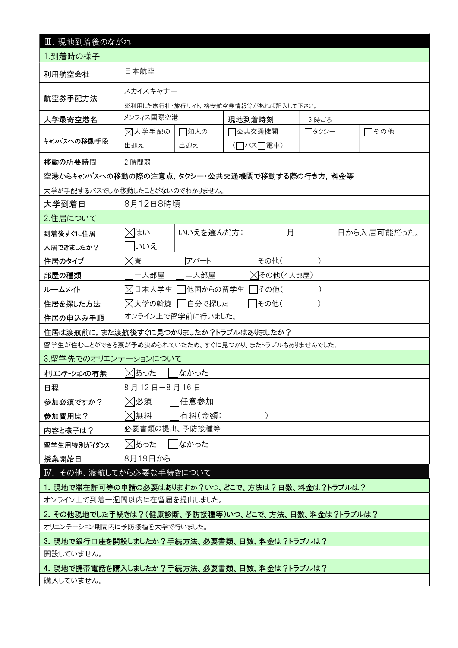| Ⅲ. 現地到着後のながれ                                        |                                                    |            |                |  |  |  |  |  |
|-----------------------------------------------------|----------------------------------------------------|------------|----------------|--|--|--|--|--|
| 1.到着時の様子                                            |                                                    |            |                |  |  |  |  |  |
| 利用航空会社                                              | 日本航空                                               |            |                |  |  |  |  |  |
|                                                     | スカイスキャナー                                           |            |                |  |  |  |  |  |
| 航空券手配方法                                             | ※利用した旅行社・旅行サイト,格安航空券情報等があれば記入して下さい。                |            |                |  |  |  |  |  |
| 大学最寄空港名                                             | メンフィス国際空港                                          | 現地到着時刻     | 13 時ごろ         |  |  |  |  |  |
|                                                     | ⊠大学手配の<br>□知人の                                     | 公共交通機関     | □その他<br>┌─タクシー |  |  |  |  |  |
| キャンパスへの移動手段                                         | 出迎え<br>出迎え                                         | (□バス□電車)   |                |  |  |  |  |  |
| 移動の所要時間                                             | 2 時間弱                                              |            |                |  |  |  |  |  |
|                                                     | 空港からキャンパスへの移動の際の注意点,タクシー・公共交通機関で移動する際の行き方,料金等      |            |                |  |  |  |  |  |
|                                                     | 大学が手配するバスでしか移動したことがないのでわかりません。                     |            |                |  |  |  |  |  |
| 大学到着日                                               | 8月12日8時頃                                           |            |                |  |  |  |  |  |
| 2.住居について                                            |                                                    |            |                |  |  |  |  |  |
| 到着後すぐに住居                                            | ⊠はい<br>いいえを選んだ方:                                   | 月          | 日から入居可能だった。    |  |  |  |  |  |
| 入居できましたか?                                           | いいえ                                                |            |                |  |  |  |  |  |
| 住居のタイプ                                              | ⊠寮<br>アパート                                         | その他(       |                |  |  |  |  |  |
| 部屋の種類                                               | −人部屋<br>二人部屋                                       | △その他(4人部屋) |                |  |  |  |  |  |
| ルームメイト                                              | ⊠日本人学生<br> 他国からの留学生                                | その他(       |                |  |  |  |  |  |
| 住居を探した方法                                            | ⊠大学の斡旋<br> 自分で探した                                  | その他(       |                |  |  |  |  |  |
| 住居の申込み手順                                            | オンライン上で留学前に行いました。                                  |            |                |  |  |  |  |  |
|                                                     | 住居は渡航前に,また渡航後すぐに見つかりましたか?トラブルはありましたか?              |            |                |  |  |  |  |  |
|                                                     | 留学生が住むことができる寮が予め決められていたため、すぐに見つかり、またトラブルもありませんでした。 |            |                |  |  |  |  |  |
| 3.留学先でのオリエンテーションについて                                |                                                    |            |                |  |  |  |  |  |
| オリエンテーションの有無                                        | ⊠あった<br>なかった                                       |            |                |  |  |  |  |  |
| 日程                                                  | 8月12日-8月16日                                        |            |                |  |  |  |  |  |
| 参加必須ですか?                                            | ⊠必須<br> 任意参加                                       |            |                |  |  |  |  |  |
| 参加費用は?                                              | ⊠無料<br> 有料(金額:                                     |            |                |  |  |  |  |  |
| 内容と様子は?                                             | 必要書類の提出、予防接種等                                      |            |                |  |  |  |  |  |
| 留学生用特別がイダンス                                         | ⊠あった<br>なかった                                       |            |                |  |  |  |  |  |
| 授業開始日                                               | 8月19日から                                            |            |                |  |  |  |  |  |
|                                                     | IV. その他、渡航してから必要な手続きについて                           |            |                |  |  |  |  |  |
|                                                     | 1. 現地で滞在許可等の申請の必要はありますか?いつ、どこで、方法は?日数、料金は?トラブルは?   |            |                |  |  |  |  |  |
|                                                     | オンライン上で到着一週間以内に在留届を提出しました。                         |            |                |  |  |  |  |  |
| 2. その他現地でした手続きは?(健康診断、予防接種等)いつ、どこで、方法、日数、料金は?トラブルは? |                                                    |            |                |  |  |  |  |  |
| オリエンテーション期間内に予防接種を大学で行いました。                         |                                                    |            |                |  |  |  |  |  |
| 3. 現地で銀行口座を開設しましたか?手続方法、必要書類、日数、料金は?トラブルは?          |                                                    |            |                |  |  |  |  |  |
| 開設していません。                                           |                                                    |            |                |  |  |  |  |  |
|                                                     | 4. 現地で携帯電話を購入しましたか?手続方法、必要書類、日数、料金は?トラブルは?         |            |                |  |  |  |  |  |
| 購入していません。                                           |                                                    |            |                |  |  |  |  |  |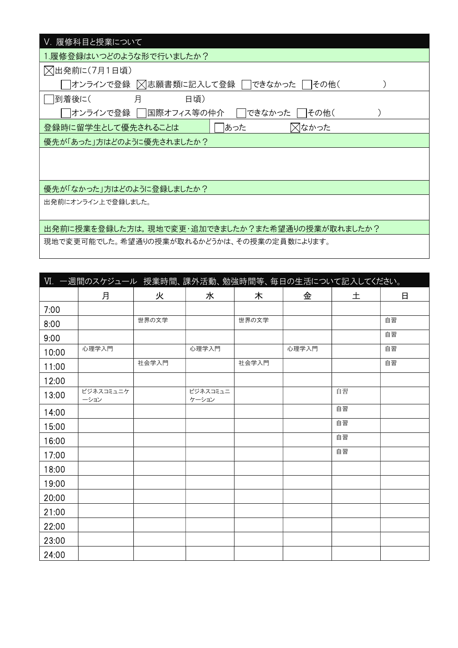| V. 履修科目と授業について                                 |
|------------------------------------------------|
| 1.履修登録はいつどのような形で行いましたか?                        |
| ○出発前に(7月1日頃)                                   |
| オンラインで登録  × 志願書類に記入して登録<br>できなかった<br>  その他(    |
| 月<br> 到着後に(<br>日頃)                             |
| オンラインで登録    国際オフィス等の仲介 <br>できなかった<br> その他(     |
| あった<br>⊠なかった<br>登録時に留学生として優先されることは             |
| 優先が「あった」方はどのように優先されましたか?                       |
|                                                |
|                                                |
| 優先が「なかった」方はどのように登録しましたか?                       |
| 出発前にオンライン上で登録しました。                             |
|                                                |
| 出発前に授業を登録した方は,現地で変更・追加できましたか?また希望通りの授業が取れましたか? |
| 現地で変更可能でした。希望通りの授業が取れるかどうかは、その授業の定員数によります。     |

| VI. 一週間のスケジュール 授業時間、課外活動、勉強時間等、毎日の生活について記入してください。 |                   |       |                   |       |       |    |    |  |  |
|---------------------------------------------------|-------------------|-------|-------------------|-------|-------|----|----|--|--|
|                                                   | 月                 | 火     | 水                 | 木     | 金     | 土  | 日  |  |  |
| 7:00                                              |                   |       |                   |       |       |    |    |  |  |
| 8:00                                              |                   | 世界の文学 |                   | 世界の文学 |       |    | 自習 |  |  |
| 9:00                                              |                   |       |                   |       |       |    | 自習 |  |  |
| 10:00                                             | 心理学入門             |       | 心理学入門             |       | 心理学入門 |    | 自習 |  |  |
| 11:00                                             |                   | 社会学入門 |                   | 社会学入門 |       |    | 自習 |  |  |
| 12:00                                             |                   |       |                   |       |       |    |    |  |  |
| 13:00                                             | ビジネスコミュニケ<br>ーション |       | ビジネスコミュニ<br>ケーション |       |       | 自習 |    |  |  |
| 14:00                                             |                   |       |                   |       |       | 自習 |    |  |  |
| 15:00                                             |                   |       |                   |       |       | 自習 |    |  |  |
| 16:00                                             |                   |       |                   |       |       | 自習 |    |  |  |
| 17:00                                             |                   |       |                   |       |       | 自習 |    |  |  |
| 18:00                                             |                   |       |                   |       |       |    |    |  |  |
| 19:00                                             |                   |       |                   |       |       |    |    |  |  |
| 20:00                                             |                   |       |                   |       |       |    |    |  |  |
| 21:00                                             |                   |       |                   |       |       |    |    |  |  |
| 22:00                                             |                   |       |                   |       |       |    |    |  |  |
| 23:00                                             |                   |       |                   |       |       |    |    |  |  |
| 24:00                                             |                   |       |                   |       |       |    |    |  |  |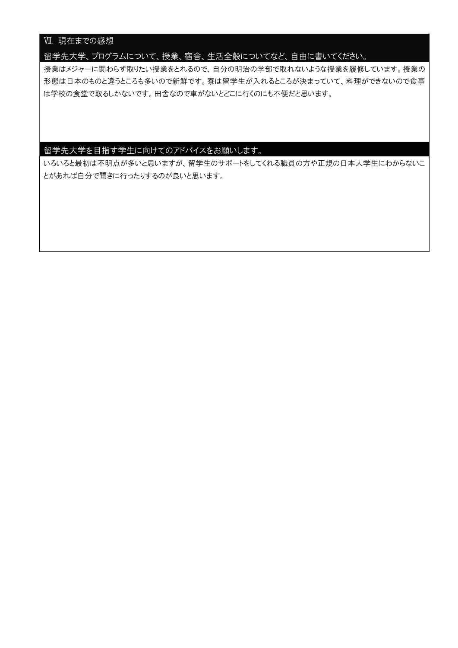## Ⅶ. 現在までの感想

### 留学先大学、プログラムについて、授業、宿舎、生活全般についてなど、自由に書いてください。

授業はメジャーに関わらず取りたい授業をとれるので、自分の明治の学部で取れないような授業を履修しています。授業の 形態は日本のものと違うところも多いので新鮮です。寮は留学生が入れるところが決まっていて、料理ができないので食事 は学校の食堂で取るしかないです。田舎なので車がないとどこに行くのにも不便だと思います。

## 留学先大学を目指す学生に向けてのアドバイスをお願いします。

いろいろと最初は不明点が多いと思いますが、留学生のサポートをしてくれる職員の方や正規の日本人学生にわからないこ とがあれば自分で聞きに行ったりするのが良いと思います。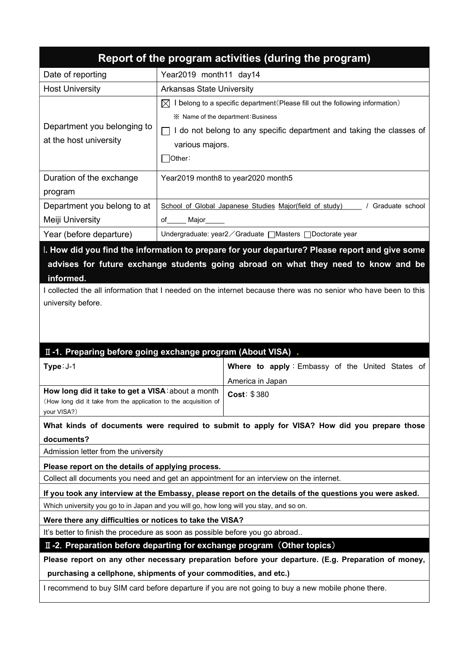| Report of the program activities (during the program)                                                                                                                  |                                                                                           |                                                                                                                 |  |  |  |  |
|------------------------------------------------------------------------------------------------------------------------------------------------------------------------|-------------------------------------------------------------------------------------------|-----------------------------------------------------------------------------------------------------------------|--|--|--|--|
| Date of reporting                                                                                                                                                      | Year2019 month11 day14                                                                    |                                                                                                                 |  |  |  |  |
| <b>Host University</b>                                                                                                                                                 | <b>Arkansas State University</b>                                                          |                                                                                                                 |  |  |  |  |
|                                                                                                                                                                        | $\boxtimes$ I belong to a specific department (Please fill out the following information) |                                                                                                                 |  |  |  |  |
|                                                                                                                                                                        | ※ Name of the department: Business                                                        |                                                                                                                 |  |  |  |  |
| Department you belonging to                                                                                                                                            |                                                                                           | $\Box$ I do not belong to any specific department and taking the classes of                                     |  |  |  |  |
| at the host university                                                                                                                                                 | various majors.                                                                           |                                                                                                                 |  |  |  |  |
|                                                                                                                                                                        | ้ Other:                                                                                  |                                                                                                                 |  |  |  |  |
| Duration of the exchange                                                                                                                                               |                                                                                           | Year2019 month8 to year2020 month5                                                                              |  |  |  |  |
| program                                                                                                                                                                |                                                                                           |                                                                                                                 |  |  |  |  |
| Department you belong to at                                                                                                                                            |                                                                                           | School of Global Japanese Studies Major(field of study)   / Graduate school                                     |  |  |  |  |
| Meiji University                                                                                                                                                       | of Major                                                                                  |                                                                                                                 |  |  |  |  |
| Year (before departure)                                                                                                                                                |                                                                                           | Undergraduate: year2 / Graduate   Masters   Doctorate year                                                      |  |  |  |  |
|                                                                                                                                                                        |                                                                                           | I. How did you find the information to prepare for your departure? Please report and give some                  |  |  |  |  |
|                                                                                                                                                                        |                                                                                           | advises for future exchange students going abroad on what they need to know and be                              |  |  |  |  |
| informed.                                                                                                                                                              |                                                                                           |                                                                                                                 |  |  |  |  |
|                                                                                                                                                                        |                                                                                           | I collected the all information that I needed on the internet because there was no senior who have been to this |  |  |  |  |
| university before.                                                                                                                                                     |                                                                                           |                                                                                                                 |  |  |  |  |
|                                                                                                                                                                        |                                                                                           |                                                                                                                 |  |  |  |  |
|                                                                                                                                                                        |                                                                                           |                                                                                                                 |  |  |  |  |
|                                                                                                                                                                        |                                                                                           |                                                                                                                 |  |  |  |  |
| II -1. Preparing before going exchange program (About VISA).                                                                                                           |                                                                                           |                                                                                                                 |  |  |  |  |
| Type: J-1                                                                                                                                                              |                                                                                           | Where to apply: Embassy of the United States of                                                                 |  |  |  |  |
| How long did it take to get a VISA: about a month                                                                                                                      |                                                                                           | America in Japan                                                                                                |  |  |  |  |
| (How long did it take from the application to the acquisition of                                                                                                       |                                                                                           | Cost: \$380                                                                                                     |  |  |  |  |
| your VISA?)                                                                                                                                                            |                                                                                           |                                                                                                                 |  |  |  |  |
|                                                                                                                                                                        |                                                                                           | What kinds of documents were required to submit to apply for VISA? How did you prepare those                    |  |  |  |  |
| documents?                                                                                                                                                             |                                                                                           |                                                                                                                 |  |  |  |  |
| Admission letter from the university                                                                                                                                   |                                                                                           |                                                                                                                 |  |  |  |  |
| Please report on the details of applying process.                                                                                                                      |                                                                                           |                                                                                                                 |  |  |  |  |
|                                                                                                                                                                        |                                                                                           | Collect all documents you need and get an appointment for an interview on the internet.                         |  |  |  |  |
|                                                                                                                                                                        |                                                                                           | If you took any interview at the Embassy, please report on the details of the questions you were asked.         |  |  |  |  |
| Which university you go to in Japan and you will go, how long will you stay, and so on.                                                                                |                                                                                           |                                                                                                                 |  |  |  |  |
| Were there any difficulties or notices to take the VISA?<br>It's better to finish the procedure as soon as possible before you go abroad                               |                                                                                           |                                                                                                                 |  |  |  |  |
|                                                                                                                                                                        |                                                                                           |                                                                                                                 |  |  |  |  |
|                                                                                                                                                                        |                                                                                           | II -2. Preparation before departing for exchange program (Other topics)                                         |  |  |  |  |
| Please report on any other necessary preparation before your departure. (E.g. Preparation of money,                                                                    |                                                                                           |                                                                                                                 |  |  |  |  |
| purchasing a cellphone, shipments of your commodities, and etc.)<br>I recommend to buy SIM card before departure if you are not going to buy a new mobile phone there. |                                                                                           |                                                                                                                 |  |  |  |  |
|                                                                                                                                                                        |                                                                                           |                                                                                                                 |  |  |  |  |
|                                                                                                                                                                        |                                                                                           |                                                                                                                 |  |  |  |  |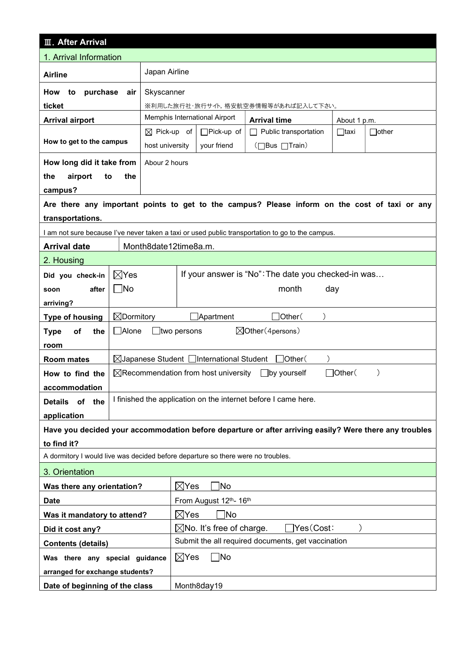| <b>III. After Arrival</b>                                                        |                       |                                                    |                                 |                                                           |                                                                                                        |                     |  |  |
|----------------------------------------------------------------------------------|-----------------------|----------------------------------------------------|---------------------------------|-----------------------------------------------------------|--------------------------------------------------------------------------------------------------------|---------------------|--|--|
| 1. Arrival Information                                                           |                       |                                                    |                                 |                                                           |                                                                                                        |                     |  |  |
| Japan Airline<br><b>Airline</b>                                                  |                       |                                                    |                                 |                                                           |                                                                                                        |                     |  |  |
| How<br>to<br>purchase                                                            | air                   | Skyscanner                                         |                                 |                                                           |                                                                                                        |                     |  |  |
| ticket                                                                           |                       |                                                    |                                 |                                                           | ※利用した旅行社・旅行サイト,格安航空券情報等があれば記入して下さい。                                                                    |                     |  |  |
| <b>Arrival airport</b>                                                           |                       |                                                    |                                 | Memphis International Airport                             | <b>Arrival time</b>                                                                                    | About 1 p.m.        |  |  |
|                                                                                  |                       | $\boxtimes$ Pick-up of                             |                                 | □Pick-up of                                               | Public transportation                                                                                  | $\Box$ other        |  |  |
| How to get to the campus                                                         |                       | host university                                    |                                 | your friend                                               | (□Bus □Train)                                                                                          |                     |  |  |
| How long did it take from                                                        |                       | Abour 2 hours                                      |                                 |                                                           |                                                                                                        |                     |  |  |
| airport<br>the<br>to                                                             | the                   |                                                    |                                 |                                                           |                                                                                                        |                     |  |  |
| campus?                                                                          |                       |                                                    |                                 |                                                           |                                                                                                        |                     |  |  |
| transportations.                                                                 |                       |                                                    |                                 |                                                           | Are there any important points to get to the campus? Please inform on the cost of taxi or any          |                     |  |  |
|                                                                                  |                       |                                                    |                                 |                                                           | I am not sure because I've never taken a taxi or used public transportation to go to the campus.       |                     |  |  |
| <b>Arrival date</b>                                                              |                       | Month8date12time8a.m.                              |                                 |                                                           |                                                                                                        |                     |  |  |
| 2. Housing                                                                       |                       |                                                    |                                 |                                                           |                                                                                                        |                     |  |  |
| Did you check-in                                                                 | $\boxtimes$ Yes       |                                                    |                                 |                                                           | If your answer is "No": The date you checked-in was                                                    |                     |  |  |
| after<br>soon                                                                    | $\Box$ No             |                                                    | month<br>day                    |                                                           |                                                                                                        |                     |  |  |
| arriving?                                                                        |                       |                                                    |                                 |                                                           |                                                                                                        |                     |  |  |
| <b>Type of housing</b>                                                           | $\boxtimes$ Dormitory |                                                    |                                 | $\Box$ Apartment                                          | $\Box$ Other $($                                                                                       |                     |  |  |
| of<br>the<br><b>Type</b>                                                         | □Alone                | $\Box$ two persons                                 |                                 |                                                           | $\boxtimes$ Other (4 persons)                                                                          |                     |  |  |
| room                                                                             |                       |                                                    |                                 |                                                           |                                                                                                        |                     |  |  |
| <b>Room mates</b>                                                                |                       |                                                    |                                 | $\boxtimes$ Japanese Student $\Box$ International Student | Other (                                                                                                |                     |  |  |
| How to find the                                                                  |                       |                                                    |                                 | $\boxtimes$ Recommendation from host university           | _lby yourself                                                                                          | $\exists$ Other $($ |  |  |
| accommodation                                                                    |                       |                                                    |                                 |                                                           |                                                                                                        |                     |  |  |
| <b>Details</b><br>of the                                                         |                       |                                                    |                                 |                                                           | I finished the application on the internet before I came here.                                         |                     |  |  |
| application                                                                      |                       |                                                    |                                 |                                                           |                                                                                                        |                     |  |  |
|                                                                                  |                       |                                                    |                                 |                                                           | Have you decided your accommodation before departure or after arriving easily? Were there any troubles |                     |  |  |
| to find it?                                                                      |                       |                                                    |                                 |                                                           |                                                                                                        |                     |  |  |
| A dormitory I would live was decided before departure so there were no troubles. |                       |                                                    |                                 |                                                           |                                                                                                        |                     |  |  |
| 3. Orientation                                                                   |                       |                                                    |                                 |                                                           |                                                                                                        |                     |  |  |
| Was there any orientation?                                                       |                       |                                                    | ]No<br>$\boxtimes$ Yes          |                                                           |                                                                                                        |                     |  |  |
| <b>Date</b>                                                                      |                       | From August 12th- 16th                             |                                 |                                                           |                                                                                                        |                     |  |  |
| Was it mandatory to attend?                                                      |                       | 1No<br>$\boxtimes$ Yes                             |                                 |                                                           |                                                                                                        |                     |  |  |
| Did it cost any?                                                                 |                       | Yes(Cost:<br>$\boxtimes$ No. It's free of charge.  |                                 |                                                           |                                                                                                        |                     |  |  |
| <b>Contents (details)</b>                                                        |                       | Submit the all required documents, get vaccination |                                 |                                                           |                                                                                                        |                     |  |  |
| Was there any special guidance                                                   |                       |                                                    | $\boxtimes$ Yes<br>$\square$ No |                                                           |                                                                                                        |                     |  |  |
| arranged for exchange students?                                                  |                       |                                                    |                                 |                                                           |                                                                                                        |                     |  |  |
| Date of beginning of the class                                                   |                       |                                                    | Month8day19                     |                                                           |                                                                                                        |                     |  |  |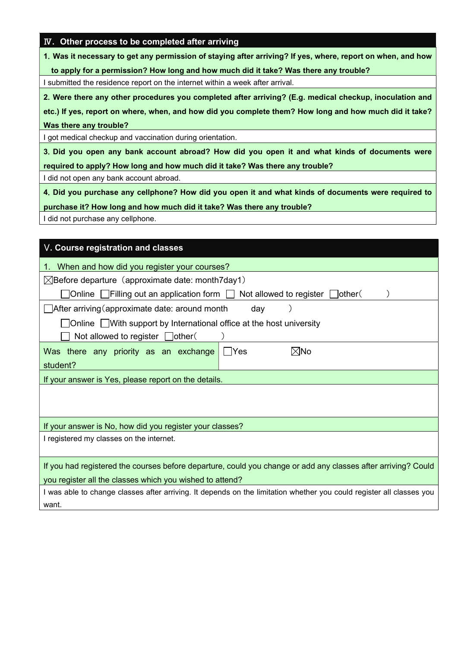|  |  | <b>IV.</b> Other process to be completed after arriving |  |
|--|--|---------------------------------------------------------|--|
|  |  |                                                         |  |

1.Was it necessary to get any permission of staying after arriving? If yes, where, report on when, and how

to apply for a permission? How long and how much did it take? Was there any trouble?

I submitted the residence report on the internet within a week after arrival.

2.Were there any other procedures you completed after arriving? (E.g. medical checkup, inoculation and

etc.) If yes, report on where, when, and how did you complete them? How long and how much did it take? Was there any trouble?

I got medical checkup and vaccination during orientation.

3.Did you open any bank account abroad? How did you open it and what kinds of documents were required to apply? How long and how much did it take? Was there any trouble?

I did not open any bank account abroad.

4.Did you purchase any cellphone? How did you open it and what kinds of documents were required to

purchase it? How long and how much did it take? Was there any trouble?

I did not purchase any cellphone.

| V. Course registration and classes                                                                                   |  |  |  |  |  |  |
|----------------------------------------------------------------------------------------------------------------------|--|--|--|--|--|--|
| 1. When and how did you register your courses?                                                                       |  |  |  |  |  |  |
| $\boxtimes$ Before departure (approximate date: month7day1)                                                          |  |  |  |  |  |  |
| ]Online $\fbox{ }$ Filling out an application form $\fbox{ } \fbox{ }$<br>Not allowed to register $\Box$ other (     |  |  |  |  |  |  |
| $\Box$ After arriving (approximate date: around month<br>day                                                         |  |  |  |  |  |  |
| ]Online □With support by International office at the host university                                                 |  |  |  |  |  |  |
| Not allowed to register $\Box$ other (                                                                               |  |  |  |  |  |  |
| Was there any priority as an exchange<br>l⊠No<br>l Yes                                                               |  |  |  |  |  |  |
| student?                                                                                                             |  |  |  |  |  |  |
| If your answer is Yes, please report on the details.                                                                 |  |  |  |  |  |  |
|                                                                                                                      |  |  |  |  |  |  |
|                                                                                                                      |  |  |  |  |  |  |
| If your answer is No, how did you register your classes?                                                             |  |  |  |  |  |  |
| I registered my classes on the internet.                                                                             |  |  |  |  |  |  |
|                                                                                                                      |  |  |  |  |  |  |
| If you had registered the courses before departure, could you change or add any classes after arriving? Could        |  |  |  |  |  |  |
| you register all the classes which you wished to attend?                                                             |  |  |  |  |  |  |
| I was able to change classes after arriving. It depends on the limitation whether you could register all classes you |  |  |  |  |  |  |
| want.                                                                                                                |  |  |  |  |  |  |